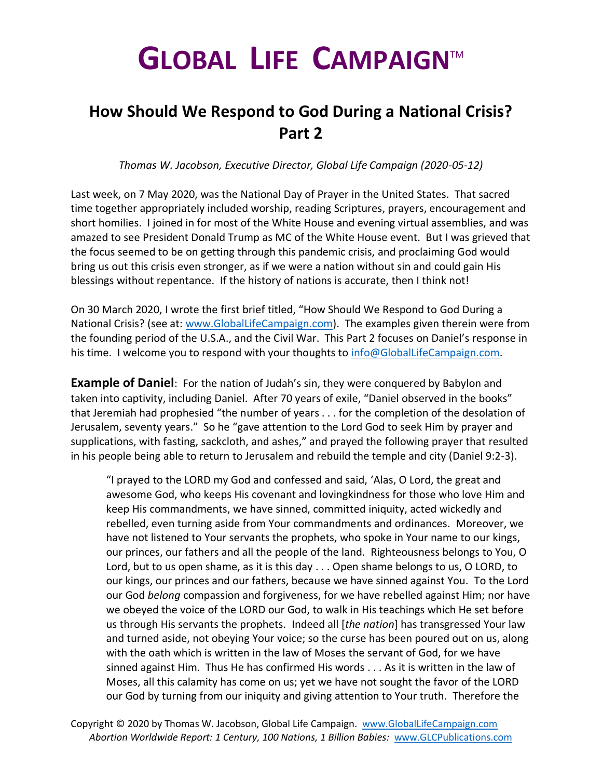## **GLOBAL LIFE CAMPAIGN**TM

## **How Should We Respond to God During a National Crisis? Part 2**

*Thomas W. Jacobson, Executive Director, Global Life Campaign (2020-05-12)*

Last week, on 7 May 2020, was the National Day of Prayer in the United States. That sacred time together appropriately included worship, reading Scriptures, prayers, encouragement and short homilies. I joined in for most of the White House and evening virtual assemblies, and was amazed to see President Donald Trump as MC of the White House event. But I was grieved that the focus seemed to be on getting through this pandemic crisis, and proclaiming God would bring us out this crisis even stronger, as if we were a nation without sin and could gain His blessings without repentance. If the history of nations is accurate, then I think not!

On 30 March 2020, I wrote the first brief titled, "How Should We Respond to God During a National Crisis? (see at: [www.GlobalLifeCampaign.com\)](http://www.globallifecampaign.com/). The examples given therein were from the founding period of the U.S.A., and the Civil War. This Part 2 focuses on Daniel's response in his time. I welcome you to respond with your thoughts to [info@GlobalLifeCampaign.com.](mailto:info@GlobalLifeCampaign.com)

**Example of Daniel**: For the nation of Judah's sin, they were conquered by Babylon and taken into captivity, including Daniel. After 70 years of exile, "Daniel observed in the books" that Jeremiah had prophesied "the number of years . . . for the completion of the desolation of Jerusalem, seventy years." So he "gave attention to the Lord God to seek Him by prayer and supplications, with fasting, sackcloth, and ashes," and prayed the following prayer that resulted in his people being able to return to Jerusalem and rebuild the temple and city (Daniel 9:2-3).

"I prayed to the LORD my God and confessed and said, 'Alas, O Lord, the great and awesome God, who keeps His covenant and lovingkindness for those who love Him and keep His commandments, we have sinned, committed iniquity, acted wickedly and rebelled, even turning aside from Your commandments and ordinances. Moreover, we have not listened to Your servants the prophets, who spoke in Your name to our kings, our princes, our fathers and all the people of the land. Righteousness belongs to You, O Lord, but to us open shame, as it is this day . . . Open shame belongs to us, O LORD, to our kings, our princes and our fathers, because we have sinned against You. To the Lord our God *belong* compassion and forgiveness, for we have rebelled against Him; nor have we obeyed the voice of the LORD our God, to walk in His teachings which He set before us through His servants the prophets. Indeed all [*the nation*] has transgressed Your law and turned aside, not obeying Your voice; so the curse has been poured out on us, along with the oath which is written in the law of Moses the servant of God, for we have sinned against Him. Thus He has confirmed His words . . . As it is written in the law of Moses, all this calamity has come on us; yet we have not sought the favor of the LORD our God by turning from our iniquity and giving attention to Your truth. Therefore the

Copyright © 2020 by Thomas W. Jacobson, Global Life Campaign. [www.GlobalLifeCampaign.com](http://www.globallifecampaign.com/)  *Abortion Worldwide Report: 1 Century, 100 Nations, 1 Billion Babies:* [www.GLCPublications.com](http://www.glcpublications.com/)